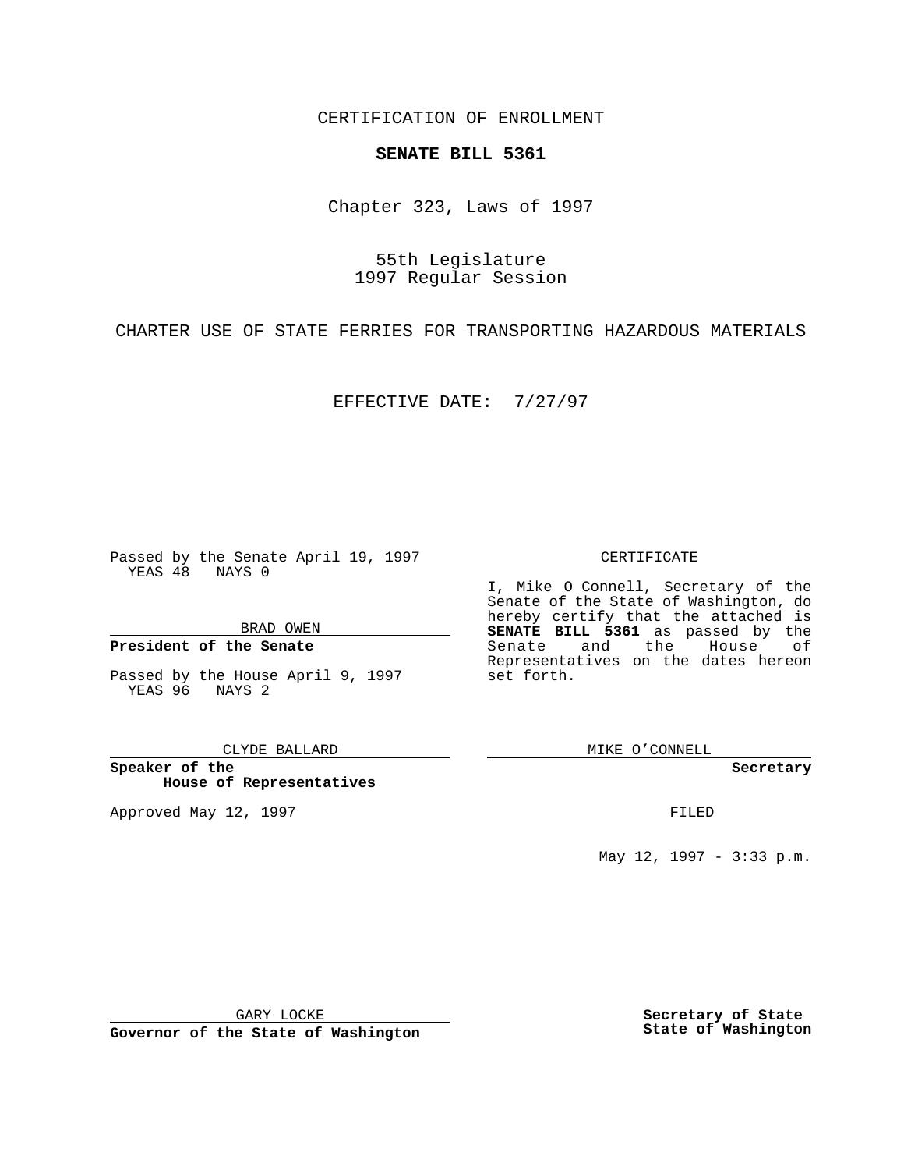CERTIFICATION OF ENROLLMENT

## **SENATE BILL 5361**

Chapter 323, Laws of 1997

55th Legislature 1997 Regular Session

CHARTER USE OF STATE FERRIES FOR TRANSPORTING HAZARDOUS MATERIALS

EFFECTIVE DATE: 7/27/97

Passed by the Senate April 19, 1997 YEAS 48 NAYS 0

BRAD OWEN

### **President of the Senate**

Passed by the House April 9, 1997 YEAS 96 NAYS 2

CLYDE BALLARD

**Speaker of the House of Representatives**

Approved May 12, 1997 **FILED** 

### CERTIFICATE

I, Mike O Connell, Secretary of the Senate of the State of Washington, do hereby certify that the attached is **SENATE BILL 5361** as passed by the Senate and the House of Representatives on the dates hereon set forth.

MIKE O'CONNELL

#### **Secretary**

May 12, 1997 - 3:33 p.m.

GARY LOCKE

**Governor of the State of Washington**

**Secretary of State State of Washington**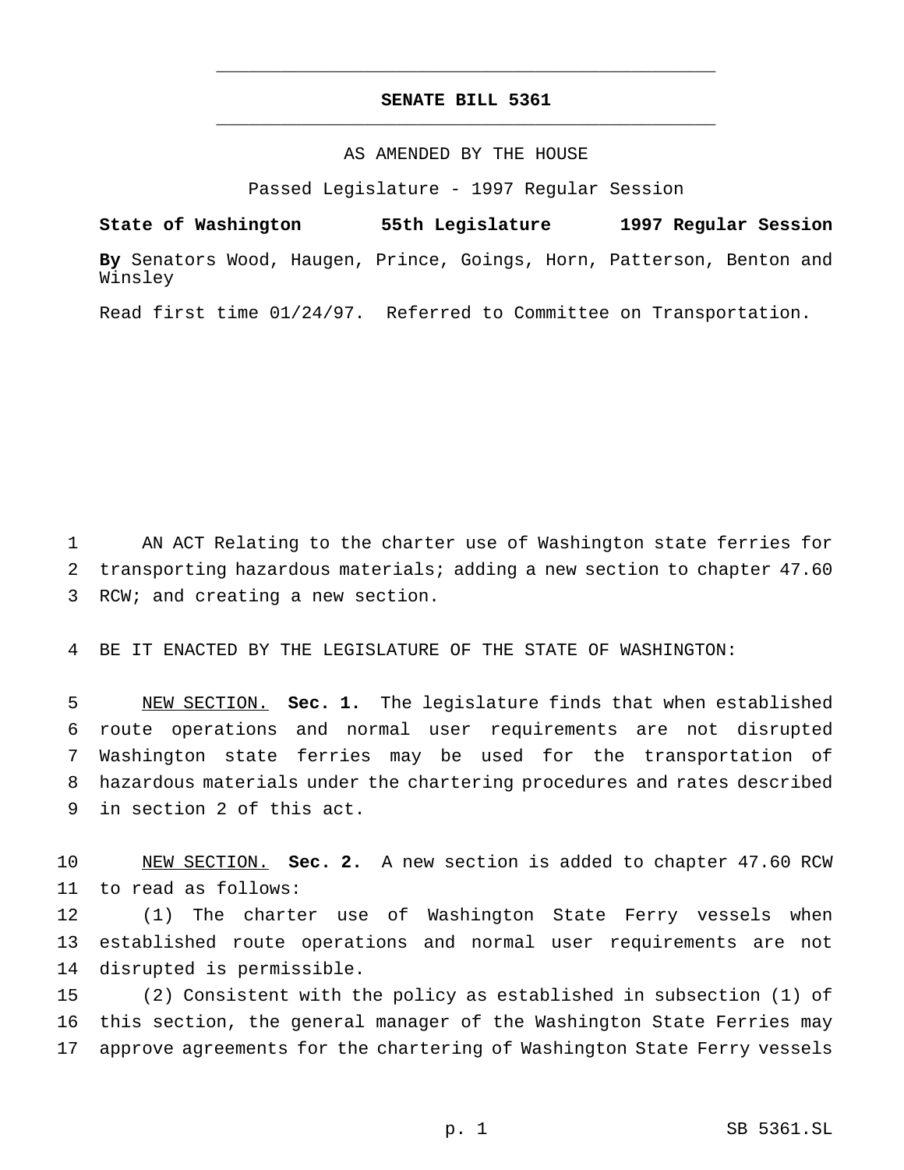# **SENATE BILL 5361** \_\_\_\_\_\_\_\_\_\_\_\_\_\_\_\_\_\_\_\_\_\_\_\_\_\_\_\_\_\_\_\_\_\_\_\_\_\_\_\_\_\_\_\_\_\_\_

\_\_\_\_\_\_\_\_\_\_\_\_\_\_\_\_\_\_\_\_\_\_\_\_\_\_\_\_\_\_\_\_\_\_\_\_\_\_\_\_\_\_\_\_\_\_\_

## AS AMENDED BY THE HOUSE

Passed Legislature - 1997 Regular Session

**State of Washington 55th Legislature 1997 Regular Session By** Senators Wood, Haugen, Prince, Goings, Horn, Patterson, Benton and

Read first time 01/24/97. Referred to Committee on Transportation.

Winsley

 AN ACT Relating to the charter use of Washington state ferries for transporting hazardous materials; adding a new section to chapter 47.60 RCW; and creating a new section.

BE IT ENACTED BY THE LEGISLATURE OF THE STATE OF WASHINGTON:

 NEW SECTION. **Sec. 1.** The legislature finds that when established route operations and normal user requirements are not disrupted Washington state ferries may be used for the transportation of hazardous materials under the chartering procedures and rates described in section 2 of this act.

 NEW SECTION. **Sec. 2.** A new section is added to chapter 47.60 RCW to read as follows:

 (1) The charter use of Washington State Ferry vessels when established route operations and normal user requirements are not disrupted is permissible.

 (2) Consistent with the policy as established in subsection (1) of this section, the general manager of the Washington State Ferries may approve agreements for the chartering of Washington State Ferry vessels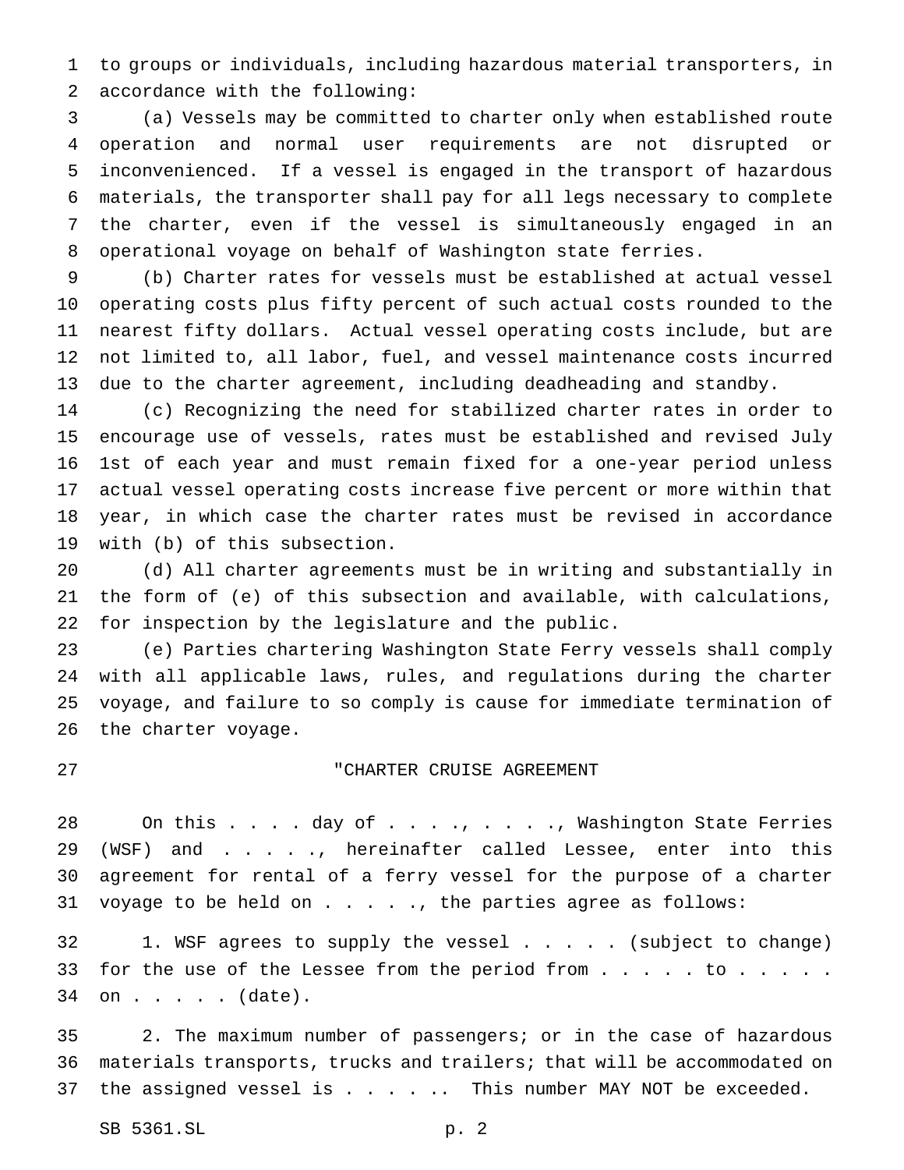to groups or individuals, including hazardous material transporters, in accordance with the following:

 (a) Vessels may be committed to charter only when established route operation and normal user requirements are not disrupted or inconvenienced. If a vessel is engaged in the transport of hazardous materials, the transporter shall pay for all legs necessary to complete the charter, even if the vessel is simultaneously engaged in an operational voyage on behalf of Washington state ferries.

 (b) Charter rates for vessels must be established at actual vessel operating costs plus fifty percent of such actual costs rounded to the nearest fifty dollars. Actual vessel operating costs include, but are not limited to, all labor, fuel, and vessel maintenance costs incurred due to the charter agreement, including deadheading and standby.

 (c) Recognizing the need for stabilized charter rates in order to encourage use of vessels, rates must be established and revised July 1st of each year and must remain fixed for a one-year period unless actual vessel operating costs increase five percent or more within that year, in which case the charter rates must be revised in accordance with (b) of this subsection.

 (d) All charter agreements must be in writing and substantially in the form of (e) of this subsection and available, with calculations, for inspection by the legislature and the public.

 (e) Parties chartering Washington State Ferry vessels shall comply with all applicable laws, rules, and regulations during the charter voyage, and failure to so comply is cause for immediate termination of the charter voyage.

## "CHARTER CRUISE AGREEMENT

28 On this . . . . day of . . . ., . . . ., Washington State Ferries (WSF) and . . . . ., hereinafter called Lessee, enter into this agreement for rental of a ferry vessel for the purpose of a charter 31 voyage to be held on  $\ldots$  . . ., the parties agree as follows:

 1. WSF agrees to supply the vessel ..... (subject to change) 33 for the use of the Lessee from the period from . . . . to . . . . . on . . . . . (date).

 2. The maximum number of passengers; or in the case of hazardous materials transports, trucks and trailers; that will be accommodated on 37 the assigned vessel is . . . . . This number MAY NOT be exceeded.

SB 5361.SL p. 2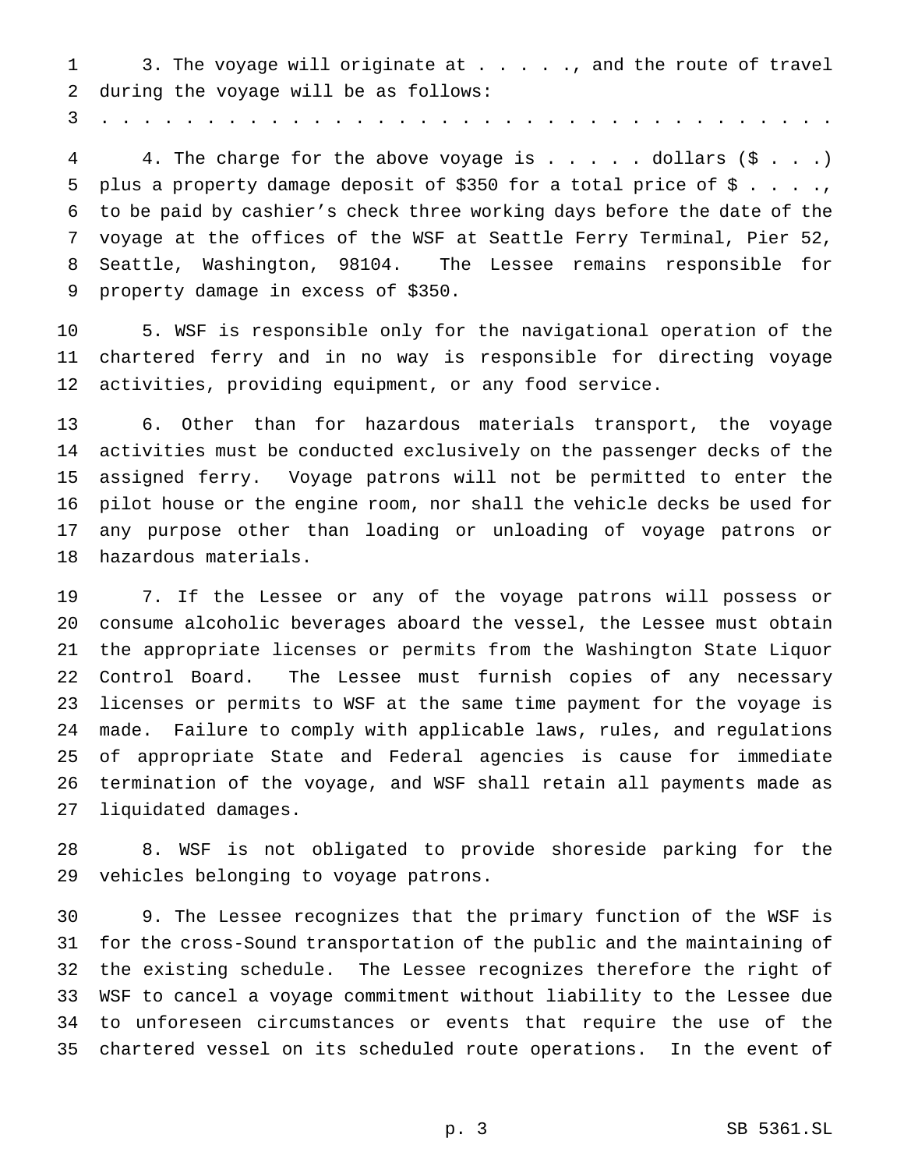1 3. The voyage will originate at . . . . ., and the route of travel during the voyage will be as follows:

...................................

4 4. The charge for the above voyage is . . . . dollars (\$ . . .) 5 plus a property damage deposit of \$350 for a total price of \$ . . . ., to be paid by cashier's check three working days before the date of the voyage at the offices of the WSF at Seattle Ferry Terminal, Pier 52, Seattle, Washington, 98104. The Lessee remains responsible for property damage in excess of \$350.

 5. WSF is responsible only for the navigational operation of the chartered ferry and in no way is responsible for directing voyage activities, providing equipment, or any food service.

 6. Other than for hazardous materials transport, the voyage activities must be conducted exclusively on the passenger decks of the assigned ferry. Voyage patrons will not be permitted to enter the pilot house or the engine room, nor shall the vehicle decks be used for any purpose other than loading or unloading of voyage patrons or hazardous materials.

 7. If the Lessee or any of the voyage patrons will possess or consume alcoholic beverages aboard the vessel, the Lessee must obtain the appropriate licenses or permits from the Washington State Liquor Control Board. The Lessee must furnish copies of any necessary licenses or permits to WSF at the same time payment for the voyage is made. Failure to comply with applicable laws, rules, and regulations of appropriate State and Federal agencies is cause for immediate termination of the voyage, and WSF shall retain all payments made as liquidated damages.

 8. WSF is not obligated to provide shoreside parking for the vehicles belonging to voyage patrons.

 9. The Lessee recognizes that the primary function of the WSF is for the cross-Sound transportation of the public and the maintaining of the existing schedule. The Lessee recognizes therefore the right of WSF to cancel a voyage commitment without liability to the Lessee due to unforeseen circumstances or events that require the use of the chartered vessel on its scheduled route operations. In the event of